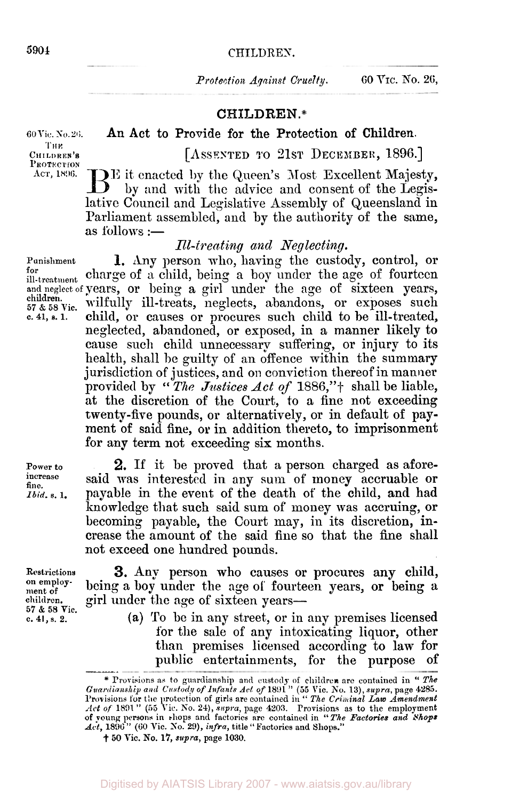**5904** CHILDREN.

# **CHILDREN.\***

# **60 Vic.** *No.26.* **An Act to Provide** for **the** Protection **of** Children.

**THE** 

CHILDREN'S [ASSENTED TO 21ST DECEMBER, 1896.]<br> **PROTECTION**<br>
ACT, 1896. TDE it enacted by the Queen's Most Excellent Maies **ACT** But enacted by the Queen's Most Excellent Majesty, by and with the advice and consent of the Legislative Council and Legislative Assembly of Queensland in Parliament assembled, **and** by the authority of the same, as follows  $:=$ 

### *Ill-treating and Neglecting.*

**Punishment 1.** Any person who, having the custody, control, or **for ill-treatment** charge of a child, being **a** boy under the age of fourteen and neglect of years, or being a girl under the age of sixteen years, **57** *& 58* **Vic.** wilfully ill-treats, neglects, abandons, or exposes such **c. 41, s.** 1. child. or causes or procures such child to be ill-treated. neglected, abandoned, or exposed, in a manner likely to cause such child unnecessary suffering, or injury to its health, shall be guilty of an offence within the summary jurisdiction of justices, and on conviction thereof in manner cause such child unnecessary suffering, or injury to its health, shall be guilty of an offence within the summary jurisdiction of justices, and on conviction thereof in manner provided by "*The Justices Act of* 1886,"<sup>+</sup> provided by "The Justices  $Act$  of 1886,"<sup>+</sup> shall be liable, at the discretion of the Court, to a fine not exceeding twenty-five pounds, or alternatively, or in default of payment of said **fine,** or in addition thereto, to imprisonment for any term not exceeding six months.

**Power to increase fine.**  *Ibid.* **s. 1.** 

**children.** 

**Restrictions on employment of** 

**2.** If it be proved that a person charged as aforesaid was interested in any sum of money accruable **or**  payable in the event of the death of the child, and had knowledge that such said sum of money was accruing, or becoming payable, the Court may, in its discretion, increase the amount of the said fine so that the fine shall not exceed one hundred pounds.

**3.** Any person who causes or procures **any** child, being a boy under the age of fourteen years, or being a girl under the age of sixteen years—

**57 & 58 Vic. c. 41, s. 2. (a)** To be in any street, or in any premises licensed for the sale of any intoxicating liquor, other than premises licensed according to law for public entertainments, for the purpose of \_\_ -

Frovisions as to guardianship and eustody of children are contained in "The Guardianship and Custody of Infants Act of 1891" (55 Vic. No. 13), supra, page 4285.<br>Provisions for the protection of girls are contained in "The Trovisions for the protection of girls are contained in  $T_{\mu\nu}$  extends as to the employment of young persons in thops and factories are contained in "The Factories and Nhops  $Act$ , 1896" (60 Vic. No. 29), infra, title "F

<sup>.†</sup> **50 Vic. No.** 17, *supra,* **page 1030.**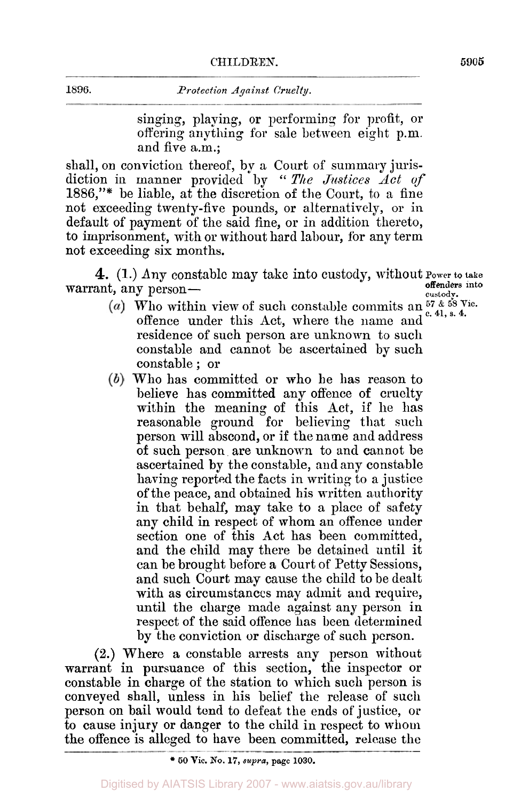singing, playing, or performing for profit, or offering anything for sale between eight p.m. and five a.m.;

shall, on conviction thereof, by a Court of summary jurisdiction in manner provided by "The Justices Act of **1886,"\*** be liable, at the discretion of the Court, to a fine not exceeding twenty-five pounds, or alternatively, or in default of payment of the said fine, or in addition thereto, to imprisonment, with or without hard labour, for any term not exceeding six months.

**4.** (1.) Any constable may take into custody, without **Power to** take **offenders into**  warrant, any person-

- Who within view of such constable commits an  $\frac{57}{6}$   $\frac{41}{41}$ ,  $\frac{4}{4}$ offence under this Act, where the name and residence of such person are unknown to such constable and cannot be ascertained by such constable ; or
- Who has committed or who he has reason to believe has committed any offence of cruelty within the meaning of this Act, if he has reasonable ground for believing that such person will abscond, or if the name and address of such person are unknown to and cannot be ascertained by the constable, and any constable having reported the facts in writing to **a** justice of the peace, and obtained his written authority in that behalf, may take to a place of safety any child in respect of whom an offence under section one of this Act has been committed, and the child may there be detained until it can be brought before a Court of Petty Sessions, and such Court may cause the child to be dealt with as circumstances may admit and require, until the charge made against any person in respect of the said offence has been determined by the conviction or discharge of such person.

**(2.)** Where a constable arrests any person without warrant in pursuance of this section, the inspector or constable in charge of the station to which such person is conveyed shall, unless in his belief the release of such person on bail would tend to defeat the ends of justice, *or*  to cause injury or danger to the child in respect to whom the offence is alleged to have been committed, release the

<sup>\*</sup> *50* **Vic. No. 17,** *supra,* **page** 1030.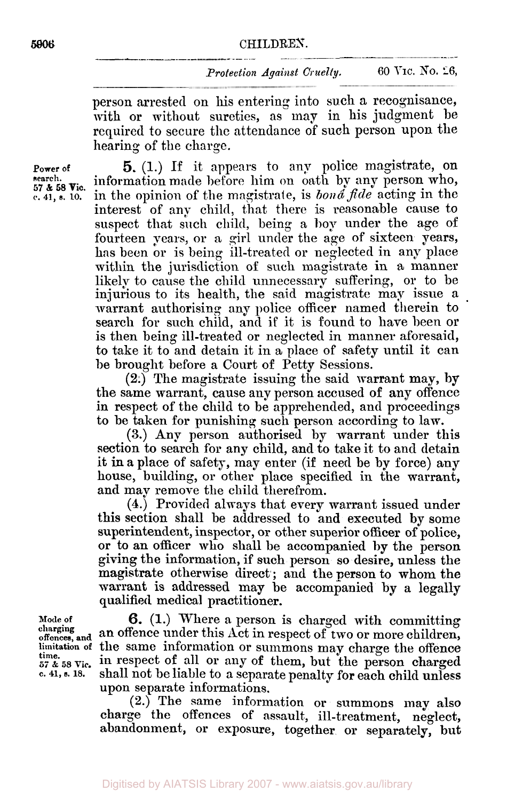#### *Protection Against Cruelty, 60* **Vic.** No. **26,**

person arrested on his entering into such a recognisance, with or without sureties, as may in his judgment be required to secure the attendance of such person upon the hearing of the charge.

**57 &** *58* **Vic.** 

**Power of 5.** (1.) If it appears to any police magistrate, on earch. in formation made before him on oath by any person who information made before him on oath by any person who, **C. 41, s. 10.** in the opinion of the magistrate, is *boina fide* acting in the interest of any child, that there is reasonable cause to suspect that such child, being a boy under the age of fourteen years, or a girl under the age of sixteen years, has been or is being ill-treated or neglected in any place within the jurisdiction of such magistrate in a manner likely to cause the child unnecessary suffering, or to be injurious to its health, the said magistrate may issue a warrant authorising any police officer named therein to search for such child, and if it is found to have been or is then being ill-treated or neglected in manner aforesaid, to take it to and detain it in a place of safety until it can be brought before a Court of Petty Sessions.

> **(2:)** The magistrate issuing the said warrant may, **by**  the same warrant, cause any person accused of any offence in respect of the child to be apprehended, and proceedings to be taken for punishing such person according to lam.

> **(3.) Any** person authorised. by warrant under this section to search for any child, and to take it to and detain it in a place of safety, may enter (if need be by force) any house, building, or other place specified in the warrant, and may remove the child therefrom.

> **(4.)** Provided always that every warrant issued under this section **shall** be addressed to and executed **by** some superintendent, inspector, or other superior officer **of** police, **or** to an officer who shall be accompanied by the person giving the information, if such person *so* desire, unless the magistrate otherwise direct ; and the person to whom the warrant is addressed may be accompanied **by a** legally qualified medical practitioner.

**charging offences, and time.** 

**Mode of 6. (1.)** Where **a** person is charged with committing an offence under this Act in respect of two or more children, **limitation** of the same information or summons may charge the offence  $\frac{57 \text{ }\& 58 \text{ }V_i}{57 \text{ }\& 58 \text{ }\& \dots}$  in respect of all or any of them, but the person charged c. 41, s. 18. shall not be liable to a separate penalty for each child unless *C.* **41, s. 18.** shall not be liable to **a** separate penalty **for** each child unless upon separate informations.

**(2.) The** same information **or** summons **may** also charge **the** offences of assault, ill-treatment, neglect, abandonment, or exposure, together or separately, but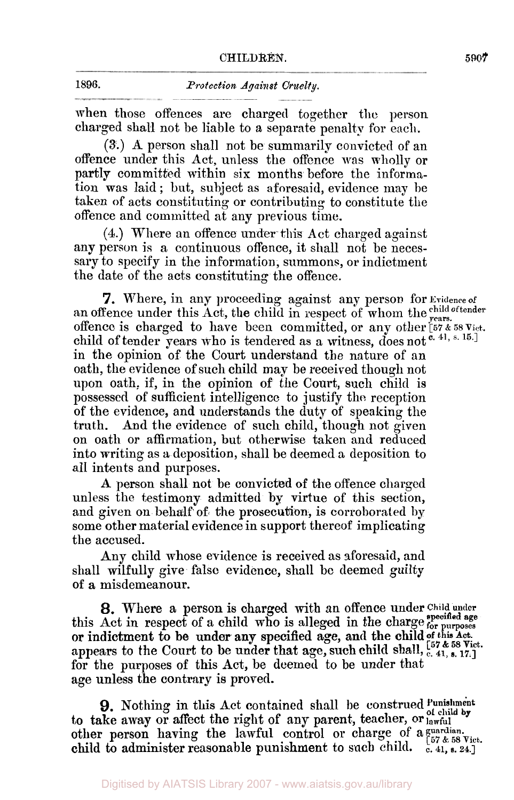| 1896. |  |
|-------|--|
|       |  |

when those offences are charged together the person charged shall not be liable to a separate penalty for each.

**(3.)** A person shall not be summarily convicted of an offence under this Act, unless the offence was wholly or partly committed within six months before the informstion was laid ; but, subject as aforesaid, evidence may be taken of acts constituting or contributing to constitute the offence and committed at any previous time.

**(4.)** Where an offence under-this Act charged against any person is a continuous offence, it shall not be necessary to specify in the information, summons, or indictment the date of the acts constituting the offence.

**7.** Where, in any proceeding against any person for **Evidence of**  an offence under this Act, the child in respect of whom the child of tender of gears. offence is charged to have been committed, or any other **[57** & *58* **Vict.**  child of tender years who is tendered as a witness, does not  $\vec{c}$ . 41, s. 15.] in the opinion **of** the Court understand the nature of an oath, the evidence of such child **may** be received though not upon oath, if, in the opinion of the Court, such child is possessed of sufficient intelligence to justify the reception of the evidence, and understands the duty of speaking the truth. And the evidence of such child, though not given on oath or affirmation, but otherwise taken and reduced into writing as a deposition, shall be deemed a deposition to all intents and purposes.

**A** person shall not be convicted of the offence charged unless the testimony admitted by virtue of this section, and given on behalf of the prosecution, is corroborated by some other material evidence in support thereof implicating the accused.

Any child whose evidence is received as aforesaid, and shall wilfully give false evidence, shall be deemed guilty **of a** misdemeanour.

*8.* Where a person is charged with an offence under **Child under or** indictment to be under any specified age, and the child **of this Act.**  appears to the Court to **be** under that age, such child shall, *c.* **41, 17.] [57** & **58** Vict. for the purposes **of** this Act, be deemed to be under that age unless the contrary is proved. **specified age** this Act in respect of a child who is alleged in the charge **for purposes** 

to take away or affect the right of any parent, teacher, or lawful **b** to take away or affect the right of any parent, teacher, or lawful other person having the lawful control or charge of a guardian. child to administer reasonable punishment to such child.  $c. 41, c. 24.$ **9.** Nothing in this Act contained shall be construed <sup>Punishment</sup>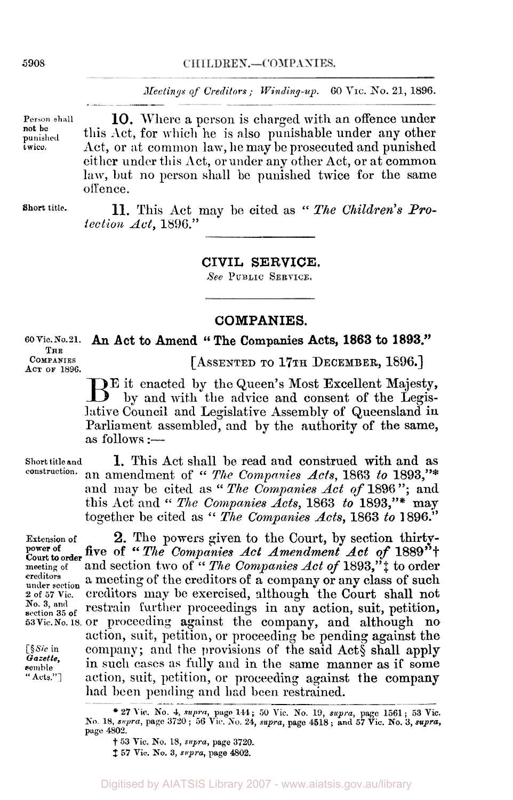#### CHILDREN.-COMPANIES.

*Meetings of Creditors; Winding-up.* 60 VIC. No. 21, 1896.

**Person shall punished twice.**  not be

**10.** Where a person is charged with an offence under this Act, for which he is also punishable under any other Act, or at common law, he may be prosecuted and punished **either** under this Act, or under any other Act, or at common law, but no person shall be punished twice for the same offence.

Short title.

**11.** This Act may be cited as *"The Children's Protection Act,* l896."

**CIVIL SERVICE.** 

*See* **PUBLIC SERVICE.**